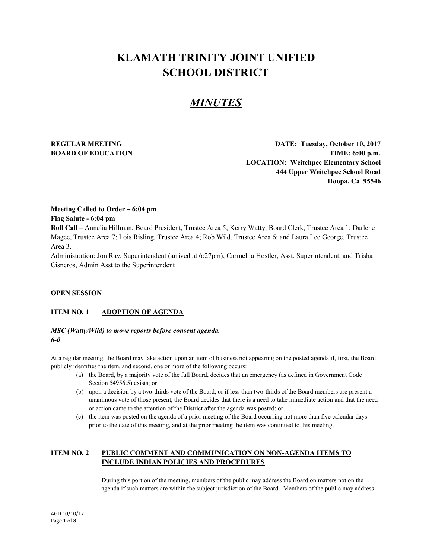# **KLAMATH TRINITY JOINT UNIFIED SCHOOL DISTRICT**

## *MINUTES*

**REGULAR MEETING DATE: Tuesday, October 10, 2017 BOARD OF EDUCATION TIME:** 6:00 p.m. **LOCATION: Weitchpec Elementary School 444 Upper Weitchpec School Road Hoopa, Ca 95546**

#### **Meeting Called to Order – 6:04 pm Flag Salute - 6:04 pm**

**Roll Call –** Annelia Hillman, Board President, Trustee Area 5; Kerry Watty, Board Clerk, Trustee Area 1; Darlene Magee, Trustee Area 7; Lois Risling, Trustee Area 4; Rob Wild, Trustee Area 6; and Laura Lee George, Trustee Area 3.

Administration: Jon Ray, Superintendent (arrived at 6:27pm), Carmelita Hostler, Asst. Superintendent, and Trisha Cisneros, Admin Asst to the Superintendent

#### **OPEN SESSION**

#### **ITEM NO. 1 ADOPTION OF AGENDA**

#### *MSC (Watty/Wild) to move reports before consent agenda. 6-0*

At a regular meeting, the Board may take action upon an item of business not appearing on the posted agenda if, first, the Board publicly identifies the item, and second, one or more of the following occurs:

- (a) the Board, by a majority vote of the full Board, decides that an emergency (as defined in Government Code Section 54956.5) exists; or
- (b) upon a decision by a two-thirds vote of the Board, or if less than two-thirds of the Board members are present a unanimous vote of those present, the Board decides that there is a need to take immediate action and that the need or action came to the attention of the District after the agenda was posted; or
- (c) the item was posted on the agenda of a prior meeting of the Board occurring not more than five calendar days prior to the date of this meeting, and at the prior meeting the item was continued to this meeting.

#### **ITEM NO. 2 PUBLIC COMMENT AND COMMUNICATION ON NON-AGENDA ITEMS TO INCLUDE INDIAN POLICIES AND PROCEDURES**

During this portion of the meeting, members of the public may address the Board on matters not on the agenda if such matters are within the subject jurisdiction of the Board. Members of the public may address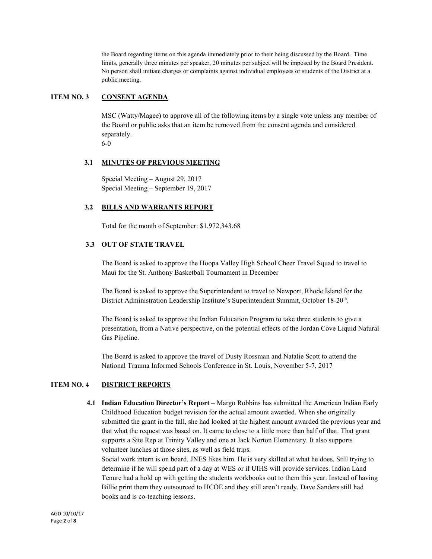the Board regarding items on this agenda immediately prior to their being discussed by the Board. Time limits, generally three minutes per speaker, 20 minutes per subject will be imposed by the Board President. No person shall initiate charges or complaints against individual employees or students of the District at a public meeting.

#### **ITEM NO. 3 CONSENT AGENDA**

MSC (Watty/Magee) to approve all of the following items by a single vote unless any member of the Board or public asks that an item be removed from the consent agenda and considered separately.

6-0

#### **3.1 MINUTES OF PREVIOUS MEETING**

Special Meeting – August 29, 2017 Special Meeting – September 19, 2017

#### **3.2 BILLS AND WARRANTS REPORT**

Total for the month of September: \$1,972,343.68

#### **3.3 OUT OF STATE TRAVEL**

The Board is asked to approve the Hoopa Valley High School Cheer Travel Squad to travel to Maui for the St. Anthony Basketball Tournament in December

The Board is asked to approve the Superintendent to travel to Newport, Rhode Island for the District Administration Leadership Institute's Superintendent Summit, October 18-20<sup>th</sup>.

The Board is asked to approve the Indian Education Program to take three students to give a presentation, from a Native perspective, on the potential effects of the Jordan Cove Liquid Natural Gas Pipeline.

The Board is asked to approve the travel of Dusty Rossman and Natalie Scott to attend the National Trauma Informed Schools Conference in St. Louis, November 5-7, 2017

#### **ITEM NO. 4 DISTRICT REPORTS**

 **4.1 Indian Education Director's Report** – Margo Robbins has submitted the American Indian Early Childhood Education budget revision for the actual amount awarded. When she originally submitted the grant in the fall, she had looked at the highest amount awarded the previous year and that what the request was based on. It came to close to a little more than half of that. That grant supports a Site Rep at Trinity Valley and one at Jack Norton Elementary. It also supports volunteer lunches at those sites, as well as field trips.

Social work intern is on board. JNES likes him. He is very skilled at what he does. Still trying to determine if he will spend part of a day at WES or if UIHS will provide services. Indian Land Tenure had a hold up with getting the students workbooks out to them this year. Instead of having Billie print them they outsourced to HCOE and they still aren't ready. Dave Sanders still had books and is co-teaching lessons.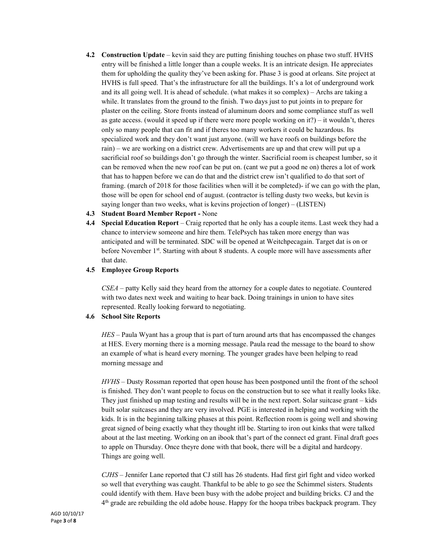- **4.2 Construction Update** kevin said they are putting finishing touches on phase two stuff. HVHS entry will be finished a little longer than a couple weeks. It is an intricate design. He appreciates them for upholding the quality they've been asking for. Phase 3 is good at orleans. Site project at HVHS is full speed. That's the infrastructure for all the buildings. It's a lot of underground work and its all going well. It is ahead of schedule. (what makes it so complex) – Archs are taking a while. It translates from the ground to the finish. Two days just to put joints in to prepare for plaster on the ceiling. Store fronts instead of aluminum doors and some compliance stuff as well as gate access. (would it speed up if there were more people working on it?) – it wouldn't, theres only so many people that can fit and if theres too many workers it could be hazardous. Its specialized work and they don't want just anyone. (will we have roofs on buildings before the rain) – we are working on a district crew. Advertisements are up and that crew will put up a sacrificial roof so buildings don't go through the winter. Sacrificial room is cheapest lumber, so it can be removed when the new roof can be put on. (cant we put a good ne on) theres a lot of work that has to happen before we can do that and the district crew isn't qualified to do that sort of framing. (march of 2018 for those facilities when will it be completed)- if we can go with the plan, those will be open for school end of august. (contractor is telling dusty two weeks, but kevin is saying longer than two weeks, what is kevins projection of longer) – (LISTEN)
- **4.3 Student Board Member Report -** None
- **4.4 Special Education Report** Craig reported that he only has a couple items. Last week they had a chance to interview someone and hire them. TelePsych has taken more energy than was anticipated and will be terminated. SDC will be opened at Weitchpecagain. Target dat is on or before November 1st. Starting with about 8 students. A couple more will have assessments after that date.

#### **4.5 Employee Group Reports**

*CSEA* – patty Kelly said they heard from the attorney for a couple dates to negotiate. Countered with two dates next week and waiting to hear back. Doing trainings in union to have sites represented. Really looking forward to negotiating.

#### **4.6 School Site Reports**

*HES* – Paula Wyant has a group that is part of turn around arts that has encompassed the changes at HES. Every morning there is a morning message. Paula read the message to the board to show an example of what is heard every morning. The younger grades have been helping to read morning message and

*HVHS* – Dusty Rossman reported that open house has been postponed until the front of the school is finished. They don't want people to focus on the construction but to see what it really looks like. They just finished up map testing and results will be in the next report. Solar suitcase grant – kids built solar suitcases and they are very involved. PGE is interested in helping and working with the kids. It is in the beginning talking phases at this point. Reflection room is going well and showing great signed of being exactly what they thought itll be. Starting to iron out kinks that were talked about at the last meeting. Working on an ibook that's part of the connect ed grant. Final draft goes to apple on Thursday. Once theyre done with that book, there will be a digital and hardcopy. Things are going well.

*CJHS* – Jennifer Lane reported that CJ still has 26 students. Had first girl fight and video worked so well that everything was caught. Thankful to be able to go see the Schimmel sisters. Students could identify with them. Have been busy with the adobe project and building bricks. CJ and the 4th grade are rebuilding the old adobe house. Happy for the hoopa tribes backpack program. They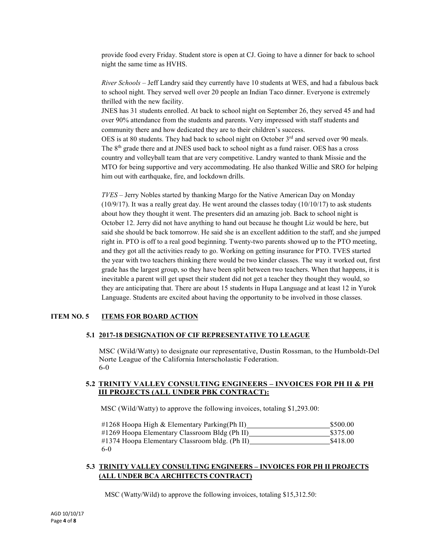provide food every Friday. Student store is open at CJ. Going to have a dinner for back to school night the same time as HVHS.

*River Schools* – Jeff Landry said they currently have 10 students at WES, and had a fabulous back to school night. They served well over 20 people an Indian Taco dinner. Everyone is extremely thrilled with the new facility.

JNES has 31 students enrolled. At back to school night on September 26, they served 45 and had over 90% attendance from the students and parents. Very impressed with staff students and community there and how dedicated they are to their children's success.

OES is at 80 students. They had back to school night on October  $3<sup>rd</sup>$  and served over 90 meals. The  $8<sup>th</sup>$  grade there and at JNES used back to school night as a fund raiser. OES has a cross country and volleyball team that are very competitive. Landry wanted to thank Missie and the MTO for being supportive and very accommodating. He also thanked Willie and SRO for helping him out with earthquake, fire, and lockdown drills.

*TVES* – Jerry Nobles started by thanking Margo for the Native American Day on Monday  $(10/9/17)$ . It was a really great day. He went around the classes today  $(10/10/17)$  to ask students about how they thought it went. The presenters did an amazing job. Back to school night is October 12. Jerry did not have anything to hand out because he thought Liz would be here, but said she should be back tomorrow. He said she is an excellent addition to the staff, and she jumped right in. PTO is off to a real good beginning. Twenty-two parents showed up to the PTO meeting, and they got all the activities ready to go. Working on getting insurance for PTO. TVES started the year with two teachers thinking there would be two kinder classes. The way it worked out, first grade has the largest group, so they have been split between two teachers. When that happens, it is inevitable a parent will get upset their student did not get a teacher they thought they would, so they are anticipating that. There are about 15 students in Hupa Language and at least 12 in Yurok Language. Students are excited about having the opportunity to be involved in those classes.

#### **ITEM NO. 5 ITEMS FOR BOARD ACTION**

#### **5.1 2017-18 DESIGNATION OF CIF REPRESENTATIVE TO LEAGUE**

MSC (Wild/Watty) to designate our representative, Dustin Rossman, to the Humboldt-Del Norte League of the California Interscholastic Federation. 6-0

#### **5.2 TRINITY VALLEY CONSULTING ENGINEERS – INVOICES FOR PH II & PH III PROJECTS (ALL UNDER PBK CONTRACT):**

MSC (Wild/Watty) to approve the following invoices, totaling \$1,293.00:

| $\#1268$ Hoopa High & Elementary Parking (Ph II) | \$500.00 |
|--------------------------------------------------|----------|
| #1269 Hoopa Elementary Classroom Bldg (Ph II)    | \$375.00 |
| #1374 Hoopa Elementary Classroom bldg. (Ph II)   | \$418.00 |
| $6-0$                                            |          |

#### **5.3 TRINITY VALLEY CONSULTING ENGINEERS – INVOICES FOR PH II PROJECTS (ALL UNDER BCA ARCHITECTS CONTRACT)**

MSC (Watty/Wild) to approve the following invoices, totaling \$15,312.50: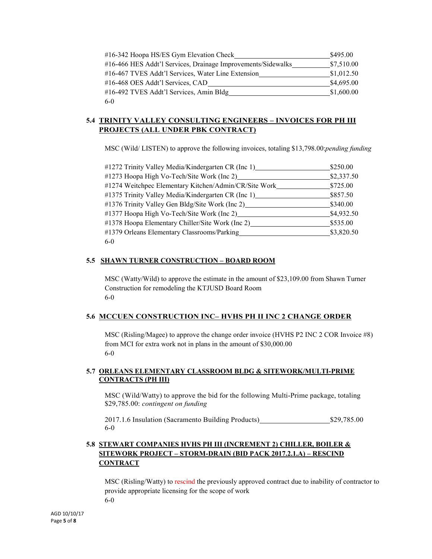| #16-342 Hoopa HS/ES Gym Elevation Check                      | \$495.00   |
|--------------------------------------------------------------|------------|
| #16-466 HES Addt'l Services, Drainage Improvements/Sidewalks | \$7,510.00 |
| #16-467 TVES Addt'l Services, Water Line Extension           | \$1,012.50 |
| #16-468 OES Addt'l Services, CAD                             | \$4,695.00 |
| #16-492 TVES Addt'l Services, Amin Bldg                      | \$1,600.00 |
| $6-0$                                                        |            |

### **5.4 TRINITY VALLEY CONSULTING ENGINEERS – INVOICES FOR PH III PROJECTS (ALL UNDER PBK CONTRACT)**

MSC (Wild/ LISTEN) to approve the following invoices, totaling \$13,798.00:*pending funding*

| #1272 Trinity Valley Media/Kindergarten CR (Inc 1)    | \$250.00   |
|-------------------------------------------------------|------------|
| #1273 Hoopa High Vo-Tech/Site Work (Inc 2)            | \$2,337.50 |
| #1274 Weitchpec Elementary Kitchen/Admin/CR/Site Work | \$725.00   |
| #1375 Trinity Valley Media/Kindergarten CR (Inc 1)    | \$857.50   |
| #1376 Trinity Valley Gen Bldg/Site Work (Inc 2)       | \$340.00   |
| #1377 Hoopa High Vo-Tech/Site Work (Inc 2)            | \$4,932.50 |
| #1378 Hoopa Elementary Chiller/Site Work (Inc 2)      | \$535.00   |
| #1379 Orleans Elementary Classrooms/Parking           | \$3,820.50 |
| $6-0$                                                 |            |

#### **5.5 SHAWN TURNER CONSTRUCTION – BOARD ROOM**

MSC (Watty/Wild) to approve the estimate in the amount of \$23,109.00 from Shawn Turner Construction for remodeling the KTJUSD Board Room 6-0

#### **5.6 MCCUEN CONSTRUCTION INC– HVHS PH II INC 2 CHANGE ORDER**

MSC (Risling/Magee) to approve the change order invoice (HVHS P2 INC 2 COR Invoice #8) from MCI for extra work not in plans in the amount of \$30,000.00 6-0

#### **5.7 ORLEANS ELEMENTARY CLASSROOM BLDG & SITEWORK/MULTI-PRIME CONTRACTS (PH III)**

MSC (Wild/Watty) to approve the bid for the following Multi-Prime package, totaling \$29,785.00: *contingent on funding*

2017.1.6 Insulation (Sacramento Building Products) \$29,785.00 6-0

### **5.8 STEWART COMPANIES HVHS PH III (INCREMENT 2) CHILLER, BOILER & SITEWORK PROJECT – STORM-DRAIN (BID PACK 2017.2.1.A) – RESCIND CONTRACT**

MSC (Risling/Watty) to rescind the previously approved contract due to inability of contractor to provide appropriate licensing for the scope of work 6-0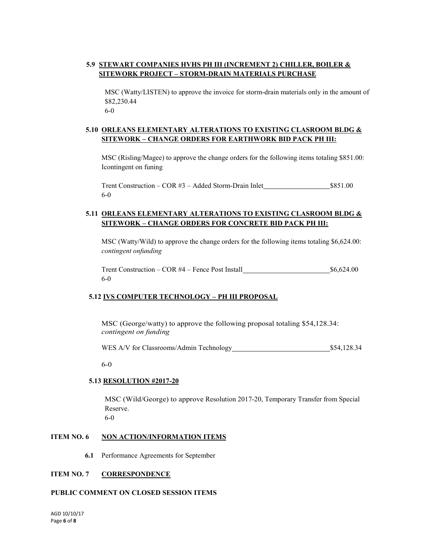### **5.9 STEWART COMPANIES HVHS PH III (INCREMENT 2) CHILLER, BOILER & SITEWORK PROJECT – STORM-DRAIN MATERIALS PURCHASE**

MSC (Watty/LISTEN) to approve the invoice for storm-drain materials only in the amount of \$82,230.44 6-0

**5.10 ORLEANS ELEMENTARY ALTERATIONS TO EXISTING CLASROOM BLDG & SITEWORK – CHANGE ORDERS FOR EARTHWORK BID PACK PH III:**

MSC (Risling/Magee) to approve the change orders for the following items totaling \$851.00: Icontingent on funing

Trent Construction – COR #3 – Added Storm-Drain Inlet \$851.00 6-0

#### **5.11 ORLEANS ELEMENTARY ALTERATIONS TO EXISTING CLASROOM BLDG & SITEWORK – CHANGE ORDERS FOR CONCRETE BID PACK PH III:**

MSC (Watty/Wild) to approve the change orders for the following items totaling \$6,624.00: *contingent onfunding*

Trent Construction – COR #4 – Fence Post Install \$6,624.00 6-0

#### **5.12 IVS COMPUTER TECHNOLOGY – PH III PROPOSAL**

MSC (George/watty) to approve the following proposal totaling \$54,128.34: *contingent on funding*

WES A/V for Classrooms/Admin Technology 554,128.34

6-0

#### **5.13 RESOLUTION #2017-20**

MSC (Wild/George) to approve Resolution 2017-20, Temporary Transfer from Special Reserve.

6-0

#### **ITEM NO. 6 NON ACTION/INFORMATION ITEMS**

**6.1** Performance Agreements for September

#### **ITEM NO. 7 CORRESPONDENCE**

#### **PUBLIC COMMENT ON CLOSED SESSION ITEMS**

AGD 10/10/17 Page **6** of **8**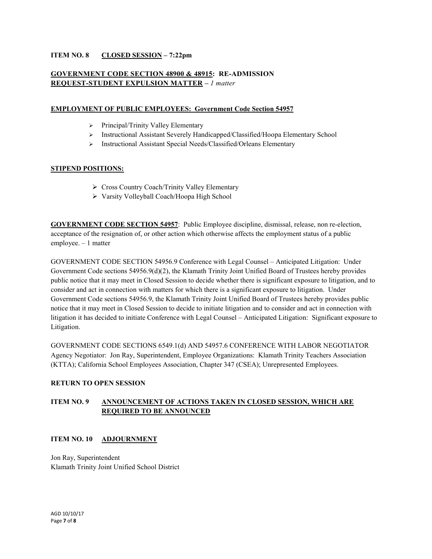#### **ITEM NO. 8 CLOSED SESSION – 7:22pm**

#### **GOVERNMENT CODE SECTION 48900 & 48915: RE-ADMISSION REQUEST-STUDENT EXPULSION MATTER –** *1 matter*

#### **EMPLOYMENT OF PUBLIC EMPLOYEES: Government Code Section 54957**

- $\triangleright$  Principal/Trinity Valley Elementary
- Instructional Assistant Severely Handicapped/Classified/Hoopa Elementary School
- Instructional Assistant Special Needs/Classified/Orleans Elementary

#### **STIPEND POSITIONS:**

- ▶ Cross Country Coach/Trinity Valley Elementary
- Varsity Volleyball Coach/Hoopa High School

**GOVERNMENT CODE SECTION 54957**: Public Employee discipline, dismissal, release, non re-election, acceptance of the resignation of, or other action which otherwise affects the employment status of a public employee. – 1 matter

GOVERNMENT CODE SECTION 54956.9 Conference with Legal Counsel – Anticipated Litigation: Under Government Code sections 54956.9(d)(2), the Klamath Trinity Joint Unified Board of Trustees hereby provides public notice that it may meet in Closed Session to decide whether there is significant exposure to litigation, and to consider and act in connection with matters for which there is a significant exposure to litigation. Under Government Code sections 54956.9, the Klamath Trinity Joint Unified Board of Trustees hereby provides public notice that it may meet in Closed Session to decide to initiate litigation and to consider and act in connection with litigation it has decided to initiate Conference with Legal Counsel – Anticipated Litigation: Significant exposure to Litigation.

GOVERNMENT CODE SECTIONS 6549.1(d) AND 54957.6 CONFERENCE WITH LABOR NEGOTIATOR Agency Negotiator: Jon Ray, Superintendent, Employee Organizations: Klamath Trinity Teachers Association (KTTA); California School Employees Association, Chapter 347 (CSEA); Unrepresented Employees.

#### **RETURN TO OPEN SESSION**

### **ITEM NO. 9 ANNOUNCEMENT OF ACTIONS TAKEN IN CLOSED SESSION, WHICH ARE REQUIRED TO BE ANNOUNCED**

#### **ITEM NO. 10 ADJOURNMENT**

Jon Ray, Superintendent Klamath Trinity Joint Unified School District